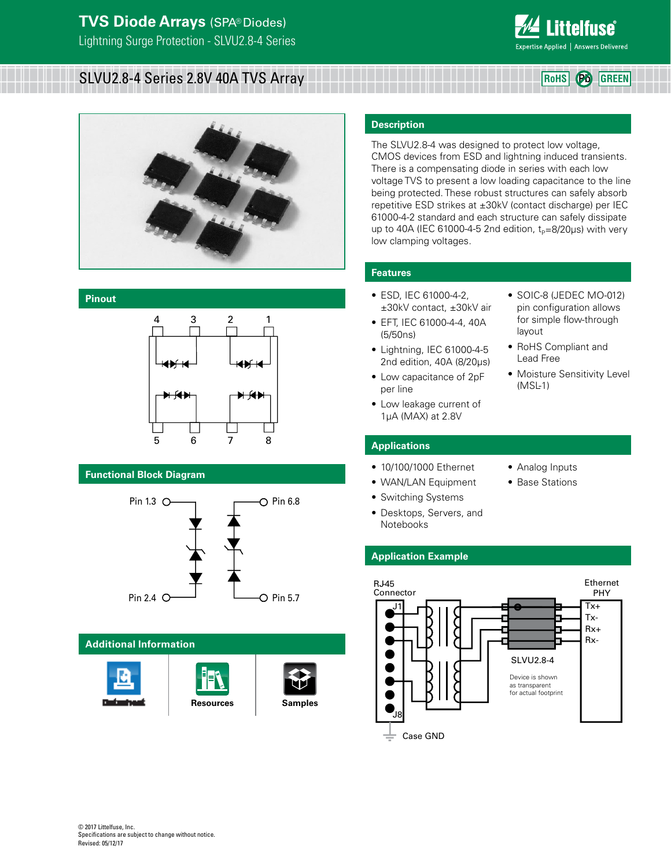

**RoHS Pb GREEN**

# SLVU2.8-4 Series 2.8V 40A TVS Array



## **Pinout**



## **Functional Block Diagram**



## **Additional Information**







## **Description**

The SLVU2.8-4 was designed to protect low voltage, CMOS devices from ESD and lightning induced transients. There is a compensating diode in series with each low voltage TVS to present a low loading capacitance to the line being protected. These robust structures can safely absorb repetitive ESD strikes at ±30kV (contact discharge) per IEC 61000-4-2 standard and each structure can safely dissipate up to 40A (IEC 61000-4-5 2nd edition,  $t_P=8/20\mu s$ ) with very low clamping voltages.

## **Features**

- ESD, IEC 61000-4-2, ±30kV contact, ±30kV air
- EFT, IEC 61000-4-4, 40A (5/50ns)
- Lightning, IEC 61000-4-5 2nd edition, 40A (8/20μs)
- Low capacitance of 2pF per line
- Low leakage current of 1μA (MAX) at 2.8V
- SOIC-8 (JEDEC MO-012) pin configuration allows for simple flow-through layout
- RoHS Compliant and Lead Free
- Moisture Sensitivity Level (MSL-1)

## **Applications**

- 10/100/1000 Ethernet
- WAN/LAN Equipment
- Switching Systems
- Desktops, Servers, and Notebooks
	-
- Analog Inputs
- Base Stations

## **Application Example**

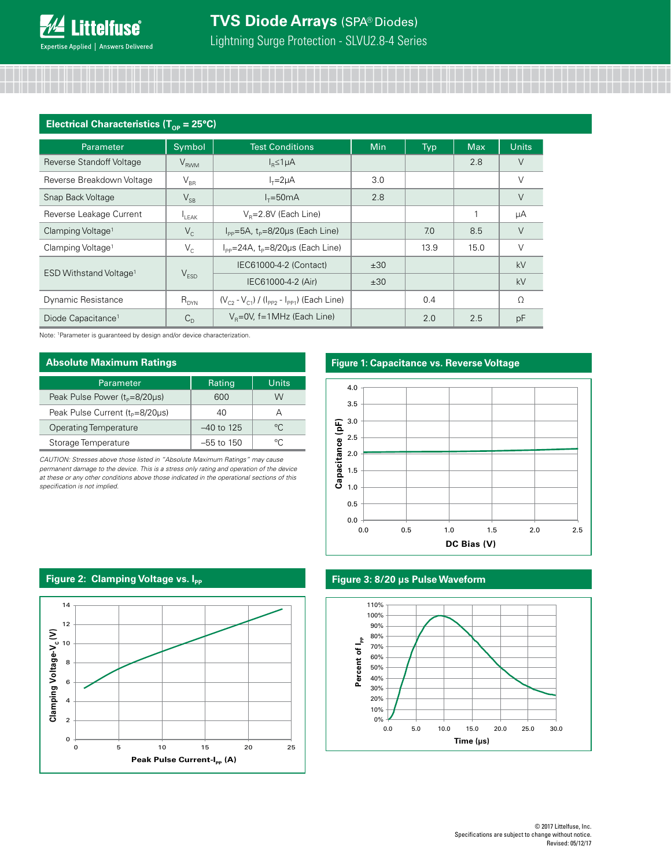| Electrical Characteristics ( $T_{\text{op}}$ = 25°C) |             |                                                                |            |            |            |              |
|------------------------------------------------------|-------------|----------------------------------------------------------------|------------|------------|------------|--------------|
| Parameter                                            | Symbol      | <b>Test Conditions</b>                                         | <b>Min</b> | <b>Typ</b> | <b>Max</b> | <b>Units</b> |
| Reverse Standoff Voltage                             | $V_{RWM}$   | $I_R \leq 1 \mu A$                                             |            |            | 2.8        | V            |
| Reverse Breakdown Voltage                            | $V_{BR}$    | $I_{\tau} = 2\mu A$                                            | 3.0        |            |            | $\vee$       |
| Snap Back Voltage                                    | $V_{SB}$    | $I_{\tau} = 50 \text{mA}$                                      | 2.8        |            |            | V            |
| Reverse Leakage Current                              | $I_{LEAK}$  | $V_R = 2.8V$ (Each Line)                                       |            |            |            | μA           |
| Clamping Voltage <sup>1</sup>                        | $V_{\rm c}$ | $I_{\text{pp}} = 5A$ , $t_{\text{p}} = 8/20 \mu s$ (Each Line) |            | 7.0        | 8.5        | $\vee$       |
| Clamping Voltage <sup>1</sup>                        | $V_{C}$     | $I_{\text{pp}}$ =24A, $t_{\text{p}}$ =8/20µs (Each Line)       |            | 13.9       | 15.0       | V            |
| ESD Withstand Voltage <sup>1</sup>                   |             | IEC61000-4-2 (Contact)                                         | ±30        |            |            | kV           |
|                                                      | $V_{ESD}$   | IEC61000-4-2 (Air)                                             | ±30        |            |            | kV           |
| Dynamic Resistance                                   | $R_{DYN}$   | $(V_{C2} - V_{C1}) / (I_{PP2} - I_{PP1})$ (Each Line)          |            | 0.4        |            | Ω            |
| Diode Capacitance <sup>1</sup>                       | $C_{\cap}$  | $V_B = 0V$ , f=1MHz (Each Line)                                |            | 2.0        | 2.5        | pF           |

Note: 1Parameter is guaranteed by design and/or device characterization.

| <b>Absolute Maximum Ratings</b>             |              |             |  |  |
|---------------------------------------------|--------------|-------------|--|--|
| Parameter                                   | Rating       | Units       |  |  |
| Peak Pulse Power (t <sub>p</sub> =8/20µs)   | 600          | W           |  |  |
| Peak Pulse Current (t <sub>p</sub> =8/20µs) | 40           | А           |  |  |
| <b>Operating Temperature</b>                | $-40$ to 125 | $^{\circ}C$ |  |  |
| Storage Temperature                         | $-55$ to 150 | ℃           |  |  |

*CAUTION: Stresses above those listed in "Absolute Maximum Ratings" may cause permanent damage to the device. This is a stress only rating and operation of the device at these or any other conditions above those indicated in the operational sections of this specification is not implied.*

## **Figure 1: Capacitance vs. Reverse Voltage**



## **Figure 3: 8/20 µs Pulse Waveform**



## **Figure 2: Clamping Voltage vs. Ipp**

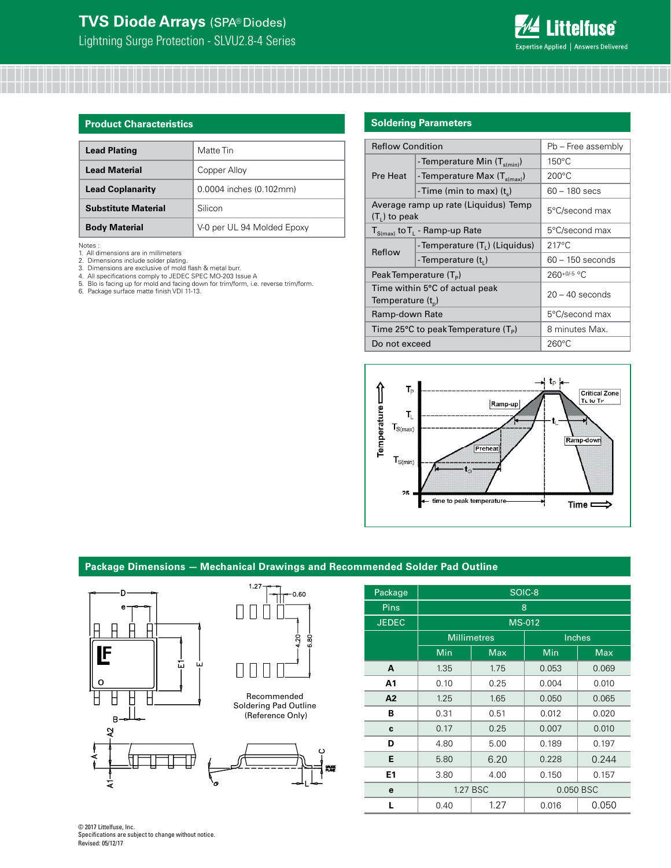

| <b>Product Characteristics</b> |                            |  |  |
|--------------------------------|----------------------------|--|--|
| <b>Lead Plating</b>            | Matte Tin                  |  |  |
| <b>Lead Material</b>           | Copper Alloy               |  |  |
| <b>Lead Coplanarity</b>        | 0.0004 inches (0.102mm)    |  |  |
| <b>Substitute Material</b>     | Silicon                    |  |  |
| <b>Body Material</b>           | V-0 per UL 94 Molded Epoxy |  |  |

Notes :

- 
- 
- 
- 1. All dimensions are in millimeters<br>2. Dimensions include solder plating.<br>3. Dimensions are exclusive of mold flash & metal burr.<br>4. All specifications comply to JEDEC SPEC MO-203 Issue A<br>5. Blo is facing up for mold and
- 

#### **Soldering Parameters**

| <b>Reflow Condition</b>                                   |                                            | Pb - Free assembly |  |
|-----------------------------------------------------------|--------------------------------------------|--------------------|--|
| Pre Heat                                                  | - Temperature Min $(T_{s(min)})$           | $150^{\circ}$ C    |  |
|                                                           | - Temperature Max (T <sub>s(max)</sub> )   | $200^{\circ}$ C    |  |
|                                                           | -Time (min to max) $(t_0)$                 | $60 - 180$ secs    |  |
| Average ramp up rate (Liquidus) Temp<br>$(T1)$ to peak    |                                            | 5°C/second max     |  |
|                                                           | $T_{S(max)}$ to $T_L$ - Ramp-up Rate       | 5°C/second max     |  |
| Reflow                                                    | - Temperature (T <sub>1</sub> ) (Liquidus) | $217^{\circ}$ C    |  |
|                                                           | -Temperature (t,)                          | $60 - 150$ seconds |  |
|                                                           | PeakTemperature (T <sub>p</sub> )          | $260+0/5$ °C       |  |
| Time within 5°C of actual peak<br>Temperature $(t_n)$     |                                            | $20 - 40$ seconds  |  |
| Ramp-down Rate                                            |                                            | 5°C/second max     |  |
| Time 25 $\degree$ C to peak Temperature (T <sub>p</sub> ) |                                            | 8 minutes Max.     |  |
| Do not exceed                                             |                                            | $260^{\circ}$ C    |  |



## **Package Dimensions — Mechanical Drawings and Recommended Solder Pad Outline**

 $-0.60$ 

 $20$ 6.80

**PUSE** 



| Package      | SOIC-8        |                    |        |            |  |
|--------------|---------------|--------------------|--------|------------|--|
| <b>Pins</b>  | 8             |                    |        |            |  |
| <b>JEDEC</b> | <b>MS-012</b> |                    |        |            |  |
|              |               | <b>Millimetres</b> | Inches |            |  |
|              | Min           | <b>Max</b>         | Min    | <b>Max</b> |  |
| A            | 1.35          | 1.75               | 0.053  | 0.069      |  |
| A1           | 0.10          | 0.25               | 0.004  | 0.010      |  |
| A2           | 1.25          | 1.65               | 0.050  | 0.065      |  |
| в            | 0.31          | 0.51               | 0.012  | 0.020      |  |
| C            | 0.17          | 0.25               | 0.007  | 0.010      |  |
| D            | 4.80          | 5.00               | 0.189  | 0.197      |  |
| E            | 5.80          | 6.20               | 0.228  | 0.244      |  |
| E1           | 3.80          | 4.00               | 0.150  | 0.157      |  |
| e            |               | 1.27 BSC           |        | 0.050 BSC  |  |
| L            | 0.40          | 1.27               | 0.016  | 0.050      |  |

© 2017 Littelfuse, Inc. Specifications are subject to change without notice. Revised: 05/12/17